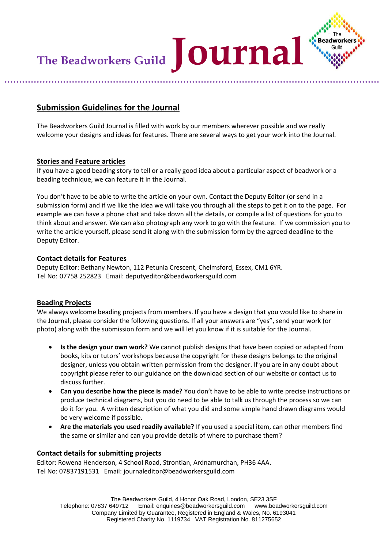

## **Submission Guidelines for the Journal**

The Beadworkers Guild Journal is filled with work by our members wherever possible and we really welcome your designs and ideas for features. There are several ways to get your work into the Journal.

### **Stories and Feature articles**

If you have a good beading story to tell or a really good idea about a particular aspect of beadwork or a beading technique, we can feature it in the Journal.

You don't have to be able to write the article on your own. Contact the Deputy Editor (or send in a submission form) and if we like the idea we will take you through all the steps to get it on to the page. For example we can have a phone chat and take down all the details, or compile a list of questions for you to think about and answer. We can also photograph any work to go with the feature. If we commission you to write the article yourself, please send it along with the submission form by the agreed deadline to the Deputy Editor.

### **Contact details for Features**

Deputy Editor: Bethany Newton, 112 Petunia Crescent, Chelmsford, Essex, CM1 6YR. Tel No: 07758 252823 Email: deputyeditor@beadworkersguild.com

### **Beading Projects**

We always welcome beading projects from members. If you have a design that you would like to share in the Journal, please consider the following questions. If all your answers are "yes", send your work (or photo) along with the submission form and we will let you know if it is suitable for the Journal.

- **Is the design your own work?** We cannot publish designs that have been copied or adapted from books, kits or tutors' workshops because the copyright for these designs belongs to the original designer, unless you obtain written permission from the designer. If you are in any doubt about copyright please refer to our guidance on the download section of our website or contact us to discuss further.
- **Can you describe how the piece is made?** You don't have to be able to write precise instructions or produce technical diagrams, but you do need to be able to talk us through the process so we can do it for you. A written description of what you did and some simple hand drawn diagrams would be very welcome if possible.
- **Are the materials you used readily available?** If you used a special item, can other members find the same or similar and can you provide details of where to purchase them?

### **Contact details for submitting projects**

Editor: Rowena Henderson, 4 School Road, Strontian, Ardnamurchan, PH36 4AA. Tel No: 07837191531 Email: journaleditor@beadworkersguild.com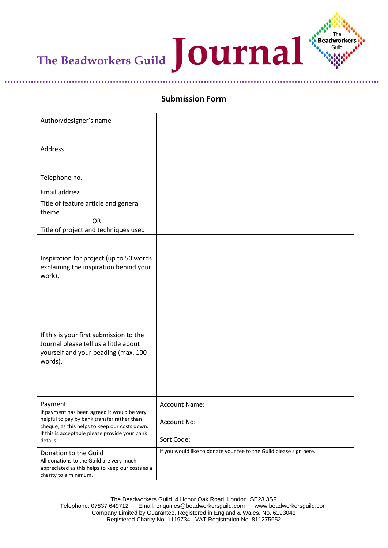

## **Submission Form**

| Author/designer's name                                                                                                                                                                                               |                                                                     |
|----------------------------------------------------------------------------------------------------------------------------------------------------------------------------------------------------------------------|---------------------------------------------------------------------|
| Address                                                                                                                                                                                                              |                                                                     |
| Telephone no.                                                                                                                                                                                                        |                                                                     |
| Email address                                                                                                                                                                                                        |                                                                     |
| Title of feature article and general<br>theme<br><b>OR</b><br>Title of project and techniques used                                                                                                                   |                                                                     |
| Inspiration for project (up to 50 words<br>explaining the inspiration behind your<br>work).                                                                                                                          |                                                                     |
| If this is your first submission to the<br>Journal please tell us a little about<br>yourself and your beading (max. 100<br>words).                                                                                   |                                                                     |
| Payment<br>If payment has been agreed it would be very<br>helpful to pay by bank transfer rather than<br>cheque, as this helps to keep our costs down.<br>If this is acceptable please provide your bank<br>details. | Account Name:<br>Account No:<br>Sort Code:                          |
| Donation to the Guild<br>All donations to the Guild are very much<br>appreciated as this helps to keep our costs as a<br>charity to a minimum.                                                                       | If you would like to donate your fee to the Guild please sign here. |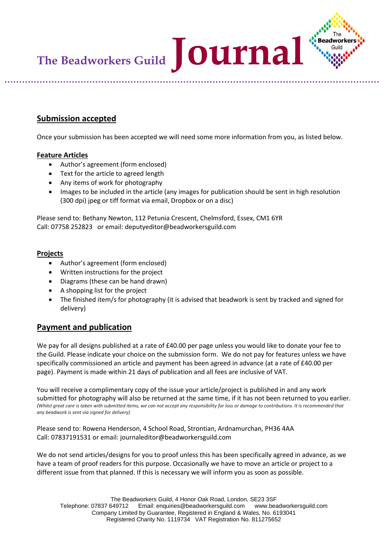

### **Submission accepted**

Once your submission has been accepted we will need some more information from you, as listed below.

### **Feature Articles**

- Author's agreement (form enclosed)
- Text for the article to agreed length
- Any items of work for photography
- Images to be included in the article (any images for publication should be sent in high resolution (300 dpi) jpeg or tiff format via email, Dropbox or on a disc)

Please send to: Bethany Newton, 112 Petunia Crescent, Chelmsford, Essex, CM1 6YR Call: 07758 252823 or email: deputyeditor@beadworkersguild.com

#### **Projects**

- Author's agreement (form enclosed)
- Written instructions for the project
- Diagrams (these can be hand drawn)
- A shopping list for the project
- The finished item/s for photography (it is advised that beadwork is sent by tracked and signed for delivery)

### **Payment and publication**

We pay for all designs published at a rate of £40.00 per page unless you would like to donate your fee to the Guild. Please indicate your choice on the submission form. We do not pay for features unless we have specifically commissioned an article and payment has been agreed in advance (at a rate of £40.00 per page). Payment is made within 21 days of publication and all fees are inclusive of VAT.

You will receive a complimentary copy of the issue your article/project is published in and any work submitted for photography will also be returned at the same time, if it has not been returned to you earlier. *(Whilst great care is taken with submitted items, we can not accept any responsibility for loss or damage to contributions. It is recommended that any beadwork is sent via signed for delivery)*

Please send to: Rowena Henderson, 4 School Road, Strontian, Ardnamurchan, PH36 4AA Call: 07837191531 or email: journaleditor@beadworkersguild.com

We do not send articles/designs for you to proof unless this has been specifically agreed in advance, as we have a team of proof readers for this purpose. Occasionally we have to move an article or project to a different issue from that planned. If this is necessary we will inform you as soon as possible*.*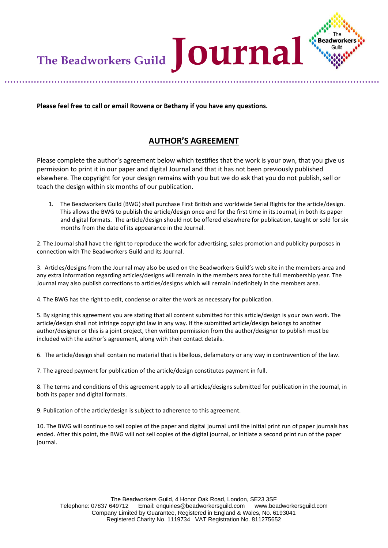The Beadworkers Guild **JOUrna** 

**Please feel free to call or email Rowena or Bethany if you have any questions.**

# **AUTHOR'S AGREEMENT**

Guild

Please complete the author's agreement below which testifies that the work is your own, that you give us permission to print it in our paper and digital Journal and that it has not been previously published elsewhere. The copyright for your design remains with you but we do ask that you do not publish, sell or teach the design within six months of our publication.

1. The Beadworkers Guild (BWG) shall purchase First British and worldwide Serial Rights for the article/design. This allows the BWG to publish the article/design once and for the first time in its Journal, in both its paper and digital formats. The article/design should not be offered elsewhere for publication, taught or sold for six months from the date of its appearance in the Journal.

2. The Journal shall have the right to reproduce the work for advertising, sales promotion and publicity purposes in connection with The Beadworkers Guild and its Journal.

3. Articles/designs from the Journal may also be used on the Beadworkers Guild's web site in the members area and any extra information regarding articles/designs will remain in the members area for the full membership year. The Journal may also publish corrections to articles/designs which will remain indefinitely in the members area.

4. The BWG has the right to edit, condense or alter the work as necessary for publication.

5. By signing this agreement you are stating that all content submitted for this article/design is your own work. The article/design shall not infringe copyright law in any way. If the submitted article/design belongs to another author/designer or this is a joint project, then written permission from the author/designer to publish must be included with the author's agreement, along with their contact details.

6. The article/design shall contain no material that is libellous, defamatory or any way in contravention of the law.

7. The agreed payment for publication of the article/design constitutes payment in full.

8. The terms and conditions of this agreement apply to all articles/designs submitted for publication in the Journal, in both its paper and digital formats.

9. Publication of the article/design is subject to adherence to this agreement.

10. The BWG will continue to sell copies of the paper and digital journal until the initial print run of paper journals has ended. After this point, the BWG will not sell copies of the digital journal, or initiate a second print run of the paper journal.